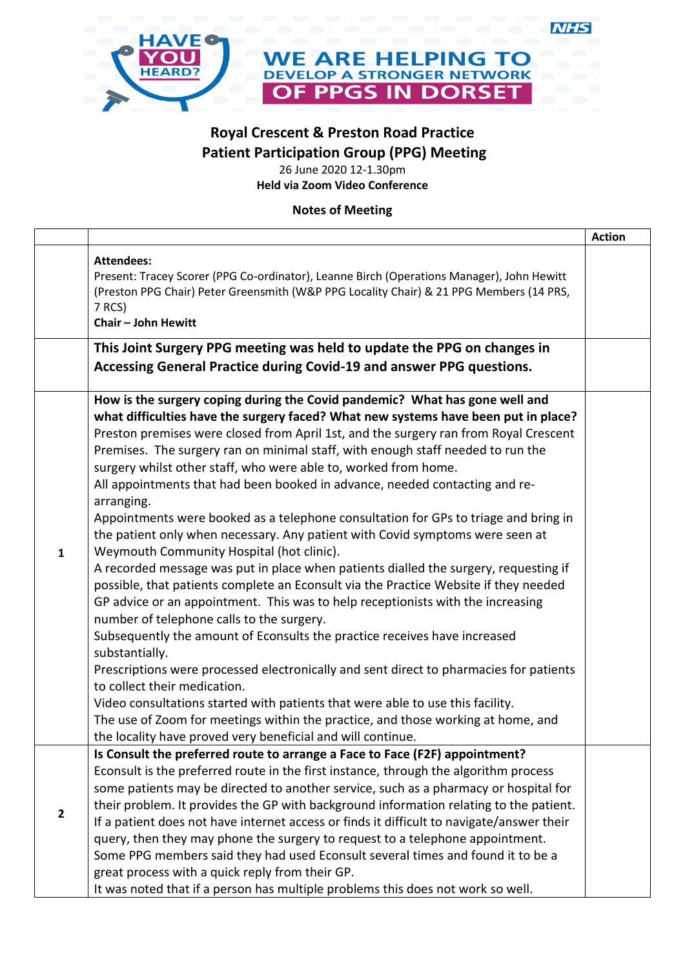

## **Royal Crescent & Preston Road Practice Patient Participation Group (PPG) Meeting**

**NHS** 

26 June 2020 12-1.30pm **Held via Zoom Video Conference**

**Notes of Meeting**

|              |                                                                                                                                                                                                                                                                                                                                                                                                                                                                                                                                                                                                                                                                                                                                                                                                                                                                                                                                                                                                                                                                                                                                                                                                                                                                                                                                                                                                                                                                                                                 | <b>Action</b> |
|--------------|-----------------------------------------------------------------------------------------------------------------------------------------------------------------------------------------------------------------------------------------------------------------------------------------------------------------------------------------------------------------------------------------------------------------------------------------------------------------------------------------------------------------------------------------------------------------------------------------------------------------------------------------------------------------------------------------------------------------------------------------------------------------------------------------------------------------------------------------------------------------------------------------------------------------------------------------------------------------------------------------------------------------------------------------------------------------------------------------------------------------------------------------------------------------------------------------------------------------------------------------------------------------------------------------------------------------------------------------------------------------------------------------------------------------------------------------------------------------------------------------------------------------|---------------|
|              | <b>Attendees:</b><br>Present: Tracey Scorer (PPG Co-ordinator), Leanne Birch (Operations Manager), John Hewitt<br>(Preston PPG Chair) Peter Greensmith (W&P PPG Locality Chair) & 21 PPG Members (14 PRS,<br>7 RCS)<br><b>Chair - John Hewitt</b>                                                                                                                                                                                                                                                                                                                                                                                                                                                                                                                                                                                                                                                                                                                                                                                                                                                                                                                                                                                                                                                                                                                                                                                                                                                               |               |
|              | This Joint Surgery PPG meeting was held to update the PPG on changes in<br>Accessing General Practice during Covid-19 and answer PPG questions.                                                                                                                                                                                                                                                                                                                                                                                                                                                                                                                                                                                                                                                                                                                                                                                                                                                                                                                                                                                                                                                                                                                                                                                                                                                                                                                                                                 |               |
| $\mathbf{1}$ | How is the surgery coping during the Covid pandemic? What has gone well and<br>what difficulties have the surgery faced? What new systems have been put in place?<br>Preston premises were closed from April 1st, and the surgery ran from Royal Crescent<br>Premises. The surgery ran on minimal staff, with enough staff needed to run the<br>surgery whilst other staff, who were able to, worked from home.<br>All appointments that had been booked in advance, needed contacting and re-<br>arranging.<br>Appointments were booked as a telephone consultation for GPs to triage and bring in<br>the patient only when necessary. Any patient with Covid symptoms were seen at<br>Weymouth Community Hospital (hot clinic).<br>A recorded message was put in place when patients dialled the surgery, requesting if<br>possible, that patients complete an Econsult via the Practice Website if they needed<br>GP advice or an appointment. This was to help receptionists with the increasing<br>number of telephone calls to the surgery.<br>Subsequently the amount of Econsults the practice receives have increased<br>substantially.<br>Prescriptions were processed electronically and sent direct to pharmacies for patients<br>to collect their medication.<br>Video consultations started with patients that were able to use this facility.<br>The use of Zoom for meetings within the practice, and those working at home, and<br>the locality have proved very beneficial and will continue. |               |
| $\mathbf{2}$ | Is Consult the preferred route to arrange a Face to Face (F2F) appointment?<br>Econsult is the preferred route in the first instance, through the algorithm process<br>some patients may be directed to another service, such as a pharmacy or hospital for<br>their problem. It provides the GP with background information relating to the patient.<br>If a patient does not have internet access or finds it difficult to navigate/answer their<br>query, then they may phone the surgery to request to a telephone appointment.<br>Some PPG members said they had used Econsult several times and found it to be a                                                                                                                                                                                                                                                                                                                                                                                                                                                                                                                                                                                                                                                                                                                                                                                                                                                                                          |               |
|              | great process with a quick reply from their GP.<br>It was noted that if a person has multiple problems this does not work so well.                                                                                                                                                                                                                                                                                                                                                                                                                                                                                                                                                                                                                                                                                                                                                                                                                                                                                                                                                                                                                                                                                                                                                                                                                                                                                                                                                                              |               |